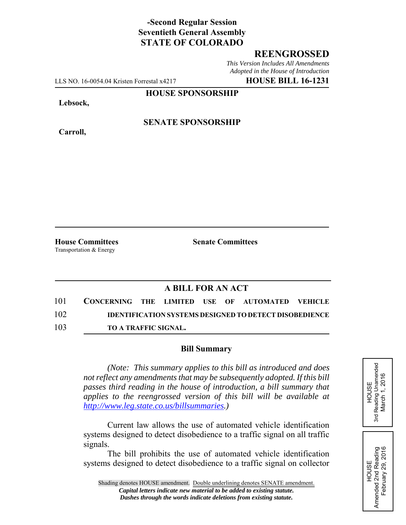# **-Second Regular Session Seventieth General Assembly STATE OF COLORADO**

## **REENGROSSED**

*This Version Includes All Amendments Adopted in the House of Introduction*

LLS NO. 16-0054.04 Kristen Forrestal x4217 **HOUSE BILL 16-1231**

### **HOUSE SPONSORSHIP**

**Lebsock,**

**Carroll,**

**SENATE SPONSORSHIP**

Transportation & Energy

**House Committees Senate Committees** 

## **A BILL FOR AN ACT**

| 101 | CONCERNING THE LIMITED USE OF AUTOMATED VEHICLE |  |  |                                                               |  |
|-----|-------------------------------------------------|--|--|---------------------------------------------------------------|--|
| 102 |                                                 |  |  | <b>IDENTIFICATION SYSTEMS DESIGNED TO DETECT DISOBEDIENCE</b> |  |
| 103 | <b>TO A TRAFFIC SIGNAL.</b>                     |  |  |                                                               |  |

#### **Bill Summary**

*(Note: This summary applies to this bill as introduced and does not reflect any amendments that may be subsequently adopted. If this bill passes third reading in the house of introduction, a bill summary that applies to the reengrossed version of this bill will be available at http://www.leg.state.co.us/billsummaries.)*

Current law allows the use of automated vehicle identification systems designed to detect disobedience to a traffic signal on all traffic signals.

The bill prohibits the use of automated vehicle identification systems designed to detect disobedience to a traffic signal on collector HOUSE Amended 2nd Reading February 29, 2016

Amended 2nd Reading<br>February 29, 2016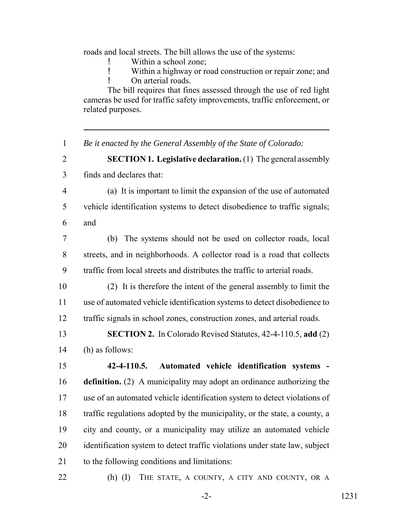roads and local streets. The bill allows the use of the systems:

Within a school zone;

! Within a highway or road construction or repair zone; and ! On arterial roads.

The bill requires that fines assessed through the use of red light cameras be used for traffic safety improvements, traffic enforcement, or related purposes.

*Be it enacted by the General Assembly of the State of Colorado:*

 **SECTION 1. Legislative declaration.** (1) The general assembly finds and declares that:

- (a) It is important to limit the expansion of the use of automated vehicle identification systems to detect disobedience to traffic signals; and
- (b) The systems should not be used on collector roads, local streets, and in neighborhoods. A collector road is a road that collects traffic from local streets and distributes the traffic to arterial roads.
- (2) It is therefore the intent of the general assembly to limit the use of automated vehicle identification systems to detect disobedience to traffic signals in school zones, construction zones, and arterial roads.
- **SECTION 2.** In Colorado Revised Statutes, 42-4-110.5, **add** (2) (h) as follows:

 **42-4-110.5. Automated vehicle identification systems - definition.** (2) A municipality may adopt an ordinance authorizing the use of an automated vehicle identification system to detect violations of traffic regulations adopted by the municipality, or the state, a county, a city and county, or a municipality may utilize an automated vehicle identification system to detect traffic violations under state law, subject to the following conditions and limitations:

22 (h) (I) THE STATE, A COUNTY, A CITY AND COUNTY, OR A